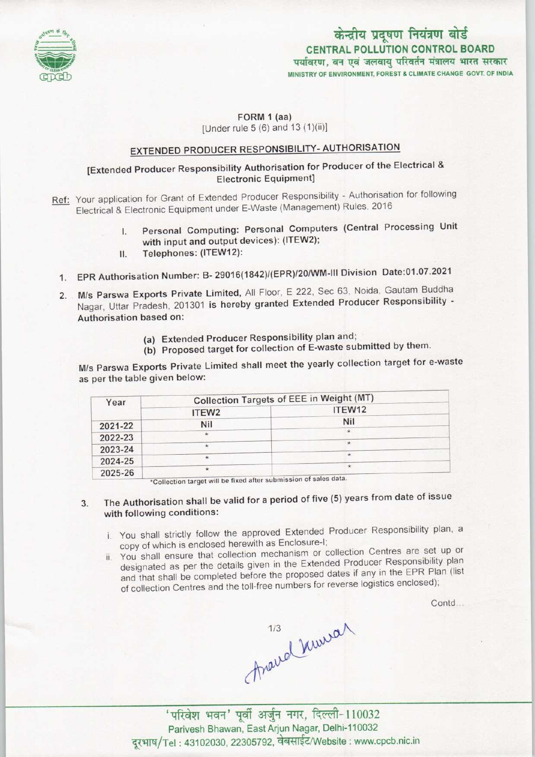

# केन्द्रीय प्रदूषण नियंत्रण बोर्ड CENTRAL POLLUTION CONTROL BOARD<br>पर्यावरण, वन एवं जलवाय परिवर्तन मंत्रालय भारत सरकार MINISTRY OF ENVIRONMENT, FOREST & CLIMATE CHANGE GOVT. OF INDIA

#### FORM 1 (aa) [Under rule 5 (6) and 13 (1)(ii)]

## EXTENDED PRODUCER RESPONSIBILITY-AUTHORISATION

### [Extended Producer Responsibility Authorisation for Producer of the Electrical & Electronic Equipment]

- Ref: Your application for Grant of Extended Producer Responsibility Authorisation for following Electrical & Electronic Equipment under E-Waste (Management) Rules, 2016
	- I. Personal Computing: Personal Computers (Central Processing Unit with input and output devices): (ITEW2);
	- II. Telephones: (ITEW12):
	- 1.EPR Authorisation Number: B- 29016(1842)/(EPR)/20/WM-III Division Date:01.07.2021
	- 2.M/s Parswa Exports Private Limited, All Floor, <sup>E</sup> 222, Sec 63, Noida, Gautam Buddha Nagar, Uttar Pradesh, 201301 is hereby granted Extended Producer Responsibility - Authorisation based on:
		- (a) Extended Producer Responsibility plan and;
		- (b) Proposed target for collection of E-waste submitted by them.

M/s Parswa Exports Private Limited shall meet the yearly collection target for e-waste as per the table given below:

| Year    | Collection Targets of EEE in Weight (MT)        |         |
|---------|-------------------------------------------------|---------|
|         | ITEW <sub>2</sub>                               | ITEW12  |
| 2021-22 | Nil                                             | Nil     |
| 2022-23 | $\star$                                         |         |
| 2023-24 | ÷                                               | $\star$ |
| 2024-25 | $\star$                                         |         |
| 2025-26 | $\star$<br>clop and a substantial af enlar data |         |

'Collection target will be fixed after submission of sales data

## 3. The Authorisation shall be valid for a period of five (5) years from date of issue with following conditions:

- i. You shall strictly follow the approved Extended Producer Responsibility plan, a copy of which is enclosed herewith as Enclosure-I;
- ii. You shall ensure that collection mechanism or collection Centres are set up or designated as per the details given in the Extended Producer Responsibility plan and that shall be completed before the proposed dates if any in the EPR Plan (list of collection Centres and the toll-free numbers for reverse logistics enclosed);

Contd...

thave kimian

' परिवेश भवन' पूर्वी अर्जुन नगर, दिल्ली-110032 Parivesh Bhawan, East Arjun Nagar, Delhi-110032 दरभाष/Tel: 43102030, 22305792, वेबसाईट/Website : www.cpcb.nic.in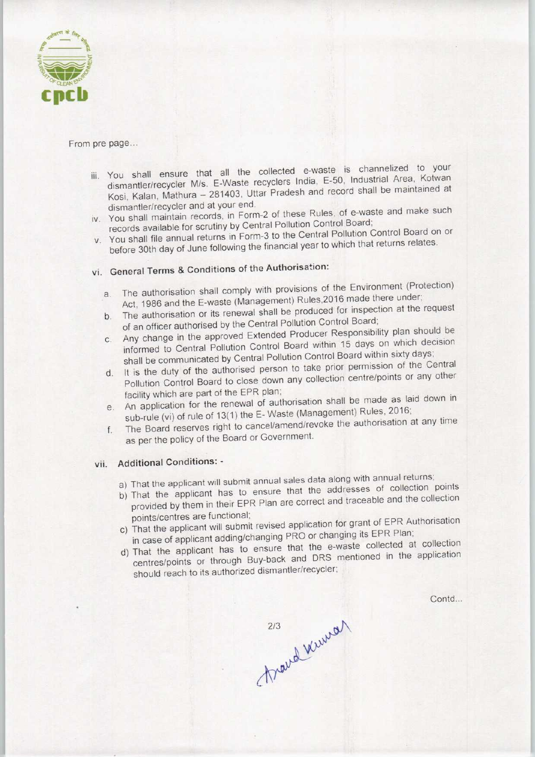

#### From pre page...

- iii. You shall ensure that all the collected e-waste is channelized to your dismantler/recycler M/s. E-Waste recyclers India, E-50, Industrial Area, Kotwan Kosi, Kalan, Mathura - 281403, Uttar Pradesh and record shall be maintained at dismantler/recycler and at your end.
- iv. You shall maintain records, in Form-2 of these Rules, of e-waste and make such records available for scrutiny by Central Pollution Control Board;
- v. You shall file annual returns in Form-3 to the Central Pollution Control Board on or before 30th day of June following the financial year to which that returns relates.

# vi. General Terms & Conditions of the Authorisation:

- a.The authorisation shall comply with provisions of the Environment (Protection) a. The authorisation shall comply with provisions on<br>Act, 1986 and the E-waste (Management) Rules, 2016 made there under;<br>the authorisation or its renewal shall be produced for inspection at the request
- The authorisation or its renewal shall be produced for inspection at the request<br>of an officer authorised by the Central Pollution Control Board;
- b. The authorisation or its renewal shall be produced for line<br>of an officer authorised by the Central Pollution Control Board;<br>c. Any change in the approved Extended Producer Responsibility plan should be informed to Central Pollution Control Board within 15 days on which decision informed to Central Pollution Control Board within sixty days;<br>shall be communicated by Central Pollution Control Board within sixty days;<br>d. It is the duty of the authorised person to take prior permission of the Central
- It is the duty of the authorised person to take prior permission of the Central Pollution Control Board to close down any collection centre/points or any other facility which are part of the EPR plan;
- e. An application for the renewal of authorisation shall be made as laid down in e. An application for the renewal of authorisation shall be made as laid down in<br>sub-rule (vi) of rule of 13(1) the E- Waste (Management) Rules, 2016;<br>f. The Board reserves right to cancel/amend/revoke the authorisation at
- The Board reserves right to cancel/amend/revoke the authorisation at any time as per the policy of the Board or Government.

#### vii. Additional Conditions: -

- a) That the applicant will submit annual sales data along with annual returns;
- b)That the applicant has to ensure that the addresses of collection points provided by them in their EPR Plan are correct and traceable and the collection points/centres are functional;
- c) That the applicant will submit revised application for grant of EPR Authorisation in case of applicant adding/changing PRO or changing its EPR Plan;
- d)That the applicant has to ensure that the e-waste collected at collection centres/points or through Buy-back and DRS mentioned in the application should reach to its authorized dismantler/recycler;

Contd...

Maud Wunser